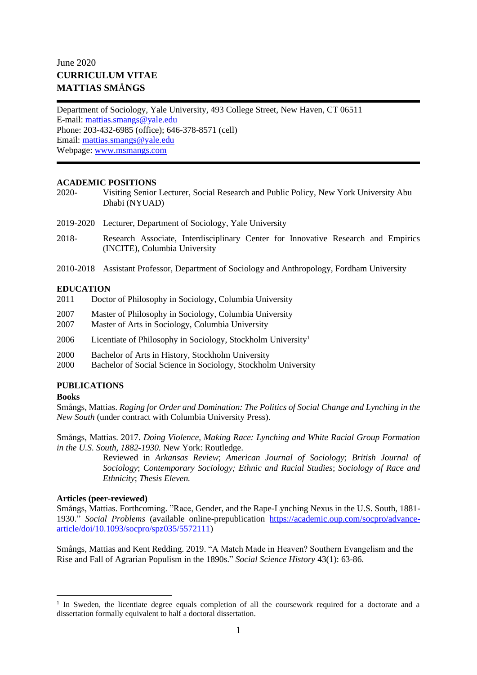# June 2020 **CURRICULUM VITAE MATTIAS SM**Å**NGS**

Department of Sociology, Yale University, 493 College Street, New Haven, CT 06511 E-mail: [mattias.smangs@yale.edu](mailto:mattias.smangs@yale.edu) Phone: 203-432-6985 (office); 646-378-8571 (cell) Email: [mattias.smangs@yale.edu](mailto:mattias.smangs@yale.edu) Webpage: [www.msmangs.com](http://www.msmangs.com/)

## **ACADEMIC POSITIONS**

- 2020- Visiting Senior Lecturer, Social Research and Public Policy, New York University Abu Dhabi (NYUAD)
- 2019-2020 Lecturer, Department of Sociology, Yale University
- 2018- Research Associate, Interdisciplinary Center for Innovative Research and Empirics (INCITE), Columbia University
- 2010-2018 Assistant Professor, Department of Sociology and Anthropology, Fordham University

## **EDUCATION**

- 2011 Doctor of Philosophy in Sociology, Columbia University
- 2007 Master of Philosophy in Sociology, Columbia University
- 2007 Master of Arts in Sociology, Columbia University
- 2006 Licentiate of Philosophy in Sociology, Stockholm University<sup>1</sup>
- 2000 Bachelor of Arts in History, Stockholm University
- 2000 Bachelor of Social Science in Sociology, Stockholm University

# **PUBLICATIONS**

#### **Books**

Smångs, Mattias. *Raging for Order and Domination: The Politics of Social Change and Lynching in the New South* (under contract with Columbia University Press).

Smångs, Mattias. 2017. *Doing Violence, Making Race: Lynching and White Racial Group Formation in the U.S. South, 1882-1930.* New York: Routledge.

> Reviewed in *Arkansas Review*; *American Journal of Sociology*; *British Journal of Sociology*; *Contemporary Sociology; Ethnic and Racial Studies*; *Sociology of Race and Ethnicity*; *Thesis Eleven.*

#### **Articles (peer-reviewed)**

Smångs, Mattias. Forthcoming. "Race, Gender, and the Rape-Lynching Nexus in the U.S. South, 1881- 1930." *Social Problems* (available online-prepublication [https://academic.oup.com/socpro/advance](https://academic.oup.com/socpro/advance-article/doi/10.1093/socpro/spz035/5572111)[article/doi/10.1093/socpro/spz035/5572111\)](https://academic.oup.com/socpro/advance-article/doi/10.1093/socpro/spz035/5572111)

Smångs, Mattias and Kent Redding. 2019. "A Match Made in Heaven? Southern Evangelism and the Rise and Fall of Agrarian Populism in the 1890s." *Social Science History* 43(1): 63-86.

<sup>&</sup>lt;sup>1</sup> In Sweden, the licentiate degree equals completion of all the coursework required for a doctorate and a dissertation formally equivalent to half a doctoral dissertation.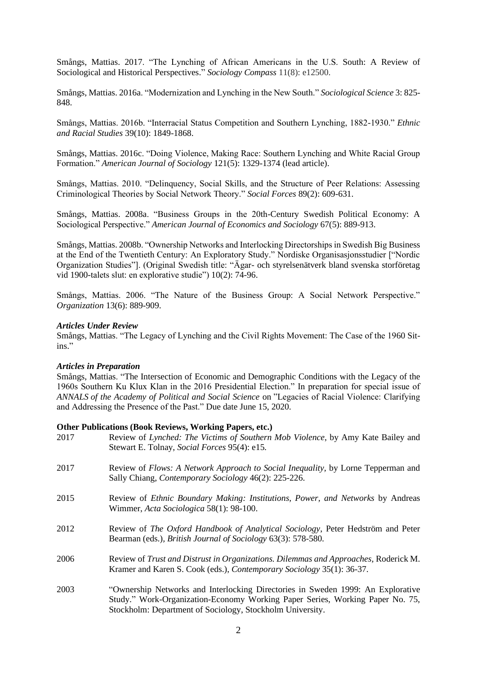Smångs, Mattias. 2017. "The Lynching of African Americans in the U.S. South: A Review of Sociological and Historical Perspectives." *Sociology Compass* 11(8): e12500.

Smångs, Mattias. 2016a. "Modernization and Lynching in the New South." *Sociological Science* 3: 825- 848.

Smångs, Mattias. 2016b. "Interracial Status Competition and Southern Lynching, 1882-1930." *Ethnic and Racial Studies* 39(10): 1849-1868.

Smångs, Mattias. 2016c. "Doing Violence, Making Race: Southern Lynching and White Racial Group Formation." *American Journal of Sociology* 121(5): 1329-1374 (lead article).

Smångs, Mattias. 2010. "Delinquency, Social Skills, and the Structure of Peer Relations: Assessing Criminological Theories by Social Network Theory." *Social Forces* 89(2): 609-631.

Smångs, Mattias. 2008a. "Business Groups in the 20th-Century Swedish Political Economy: A Sociological Perspective." *American Journal of Economics and Sociology* 67(5): 889-913.

Smångs, Mattias. 2008b. "Ownership Networks and Interlocking Directorships in Swedish Big Business at the End of the Twentieth Century: An Exploratory Study." Nordiske Organisasjonsstudier ["Nordic Organization Studies"]. (Original Swedish title: "Ägar- och styrelsenätverk bland svenska storföretag vid 1900-talets slut: en explorative studie") 10(2): 74-96.

Smångs, Mattias. 2006. "The Nature of the Business Group: A Social Network Perspective." *Organization* 13(6): 889-909.

#### *Articles Under Review*

Smångs, Mattias. "The Legacy of Lynching and the Civil Rights Movement: The Case of the 1960 Sitins."

#### *Articles in Preparation*

Smångs, Mattias. "The Intersection of Economic and Demographic Conditions with the Legacy of the 1960s Southern Ku Klux Klan in the 2016 Presidential Election." In preparation for special issue of *ANNALS of the Academy of Political and Social Science* on "Legacies of Racial Violence: Clarifying and Addressing the Presence of the Past." Due date June 15, 2020.

#### **Other Publications (Book Reviews, Working Papers, etc.)**

| Review of Lynched: The Victims of Southern Mob Violence, by Amy Kate Bailey and<br>Stewart E. Tolnay, Social Forces 95(4): e15.                                                                                               |
|-------------------------------------------------------------------------------------------------------------------------------------------------------------------------------------------------------------------------------|
| Review of <i>Flows: A Network Approach to Social Inequality</i> , by Lorne Tepperman and<br>Sally Chiang, Contemporary Sociology 46(2): 225-226.                                                                              |
| Review of <i>Ethnic Boundary Making: Institutions, Power, and Networks</i> by Andreas<br>Wimmer, Acta Sociologica 58(1): 98-100.                                                                                              |
| Review of The Oxford Handbook of Analytical Sociology, Peter Hedström and Peter<br>Bearman (eds.), British Journal of Sociology 63(3): 578-580.                                                                               |
| Review of Trust and Distrust in Organizations. Dilemmas and Approaches, Roderick M.<br>Kramer and Karen S. Cook (eds.), Contemporary Sociology 35(1): 36-37.                                                                  |
| "Ownership Networks and Interlocking Directories in Sweden 1999: An Explorative<br>Study." Work-Organization-Economy Working Paper Series, Working Paper No. 75,<br>Stockholm: Department of Sociology, Stockholm University. |
|                                                                                                                                                                                                                               |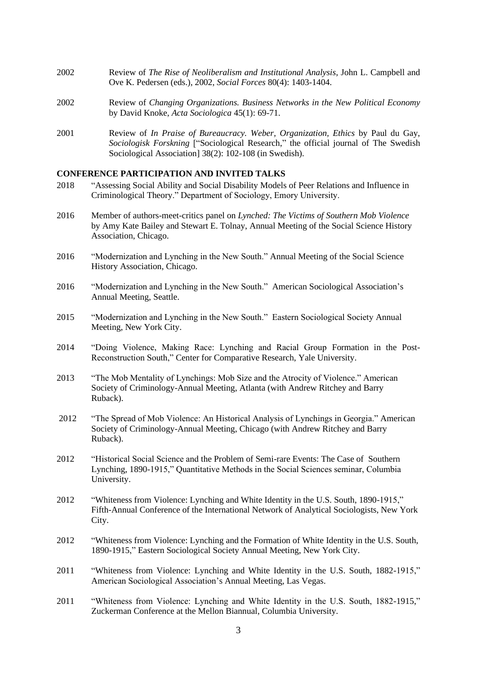- 2002 Review of *The Rise of Neoliberalism and Institutional Analysis*, John L. Campbell and Ove K. Pedersen (eds.), 2002, *Social Forces* 80(4): 1403-1404.
- 2002 Review of *Changing Organizations. Business Networks in the New Political Economy*  by David Knoke, *Acta Sociologica* 45(1): 69-71.
- 2001 Review of *In Praise of Bureaucracy. Weber, Organization, Ethics* by Paul du Gay, *Sociologisk Forskning* ["Sociological Research," the official journal of The Swedish Sociological Association] 38(2): 102-108 (in Swedish).

### **CONFERENCE PARTICIPATION AND INVITED TALKS**

- 2018 "Assessing Social Ability and Social Disability Models of Peer Relations and Influence in Criminological Theory." Department of Sociology, Emory University.
- 2016 Member of authors-meet-critics panel on *Lynched: The Victims of Southern Mob Violence* by Amy Kate Bailey and Stewart E. Tolnay, Annual Meeting of the Social Science History Association, Chicago.
- 2016 "Modernization and Lynching in the New South." Annual Meeting of the Social Science History Association, Chicago.
- 2016 "Modernization and Lynching in the New South." American Sociological Association's Annual Meeting, Seattle.
- 2015 "Modernization and Lynching in the New South." Eastern Sociological Society Annual Meeting, New York City.
- 2014 "Doing Violence, Making Race: Lynching and Racial Group Formation in the Post-Reconstruction South," Center for Comparative Research, Yale University.
- 2013 "The Mob Mentality of Lynchings: Mob Size and the Atrocity of Violence." American Society of Criminology-Annual Meeting, Atlanta (with Andrew Ritchey and Barry Ruback).
- 2012 "The Spread of Mob Violence: An Historical Analysis of Lynchings in Georgia." American Society of Criminology-Annual Meeting, Chicago (with Andrew Ritchey and Barry Ruback).
- 2012 "Historical Social Science and the Problem of Semi-rare Events: The Case of Southern Lynching, 1890-1915," Quantitative Methods in the Social Sciences seminar, Columbia University.
- 2012 "Whiteness from Violence: Lynching and White Identity in the U.S. South, 1890-1915," Fifth-Annual Conference of the International Network of Analytical Sociologists, New York City.
- 2012 "Whiteness from Violence: Lynching and the Formation of White Identity in the U.S. South, 1890-1915," Eastern Sociological Society Annual Meeting, New York City.
- 2011 "Whiteness from Violence: Lynching and White Identity in the U.S. South, 1882-1915," American Sociological Association's Annual Meeting, Las Vegas.
- 2011 "Whiteness from Violence: Lynching and White Identity in the U.S. South, 1882-1915," Zuckerman Conference at the Mellon Biannual, Columbia University.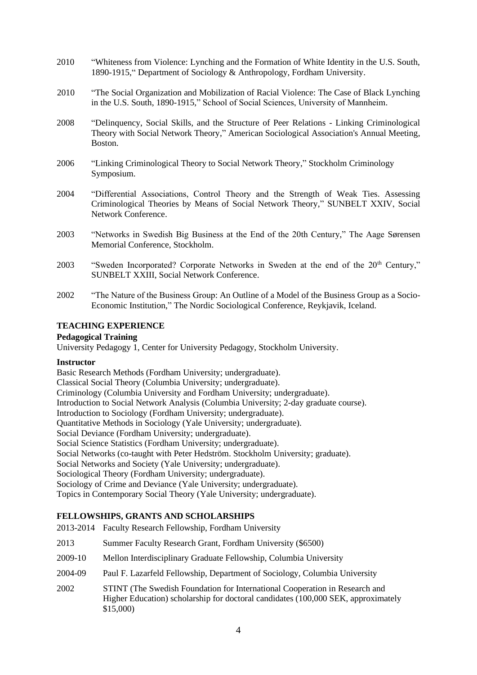- 2010 "Whiteness from Violence: Lynching and the Formation of White Identity in the U.S. South, 1890-1915," Department of Sociology & Anthropology, Fordham University.
- 2010 "The Social Organization and Mobilization of Racial Violence: The Case of Black Lynching in the U.S. South, 1890-1915," School of Social Sciences, University of Mannheim.
- 2008 "Delinquency, Social Skills, and the Structure of Peer Relations Linking Criminological Theory with Social Network Theory," American Sociological Association's Annual Meeting, Boston.
- 2006 "Linking Criminological Theory to Social Network Theory," Stockholm Criminology Symposium.
- 2004 "Differential Associations, Control Theory and the Strength of Weak Ties. Assessing Criminological Theories by Means of Social Network Theory," SUNBELT XXIV, Social Network Conference.
- 2003 "Networks in Swedish Big Business at the End of the 20th Century," The Aage Sørensen Memorial Conference, Stockholm.
- 2003 "Sweden Incorporated? Corporate Networks in Sweden at the end of the 20<sup>th</sup> Century," SUNBELT XXIII, Social Network Conference.
- 2002 "The Nature of the Business Group: An Outline of a Model of the Business Group as a Socio-Economic Institution," The Nordic Sociological Conference, Reykjavik, Iceland.

# **TEACHING EXPERIENCE**

## **Pedagogical Training**

University Pedagogy 1, Center for University Pedagogy, Stockholm University.

## **Instructor**

Basic Research Methods (Fordham University; undergraduate). Classical Social Theory (Columbia University; undergraduate). Criminology (Columbia University and Fordham University; undergraduate). Introduction to Social Network Analysis (Columbia University; 2-day graduate course). Introduction to Sociology (Fordham University; undergraduate). Quantitative Methods in Sociology (Yale University; undergraduate). Social Deviance (Fordham University; undergraduate). Social Science Statistics (Fordham University; undergraduate). Social Networks (co-taught with Peter Hedström. Stockholm University; graduate). Social Networks and Society (Yale University; undergraduate). Sociological Theory (Fordham University; undergraduate). Sociology of Crime and Deviance (Yale University; undergraduate). Topics in Contemporary Social Theory (Yale University; undergraduate).

# **FELLOWSHIPS, GRANTS AND SCHOLARSHIPS**

- 2013-2014 Faculty Research Fellowship, Fordham University
- 2013 Summer Faculty Research Grant, Fordham University (\$6500)
- 2009-10 Mellon Interdisciplinary Graduate Fellowship, Columbia University
- 2004-09 Paul F. Lazarfeld Fellowship, Department of Sociology, Columbia University
- 2002 STINT (The Swedish Foundation for International Cooperation in Research and Higher Education) scholarship for doctoral candidates (100,000 SEK, approximately \$15,000)